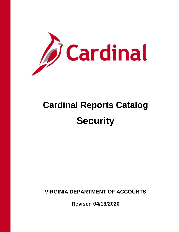

# **Cardinal Reports Catalog Security**

**VIRGINIA DEPARTMENT OF ACCOUNTS**

**Revised 04/13/2020**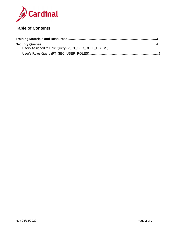

# **Table of Contents**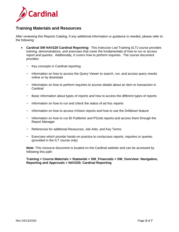

## <span id="page-2-0"></span>**Training Materials and Resources**

After reviewing this Reports Catalog, if any additional information or guidance is needed, please refer to the following:

- **Cardinal SW NAV220 Cardinal Reporting:** This Instructor Led Training (ILT) course provides training, demonstrations, and exercises that cover the fundamentals of how to run or access report and queries. Additionally, it covers how to perform inquiries. The course document provides:
	- − Key concepts in Cardinal reporting
	- − Information on how to access the Query Viewer to search, run, and access query results online or by download
	- − Information on how to perform inquiries to access details about an item or transaction in **Cardinal**
	- − Basic information about types of reports and how to access the different types of reports
	- − Information on how to run and check the status of ad hoc reports
	- − Information on how to access nVision reports and how to use the Drilldown feature
	- − Information on how to run BI Publisher and PSJob reports and access them through the Report Manager
	- − References for additional Resources, Job Aids, and Key Terms
	- − Exercises which provide hands-on practice to run/access reports, inquiries or queries (provided in the ILT course only)

**Note**: This resource document is located on the Cardinal website and can be accessed by following this path:

#### **Training > Course Materials > Statewide > SW\_Financials > SW\_Overview: Navigation, Reporting and Approvals > NAV220: Cardinal Reporting**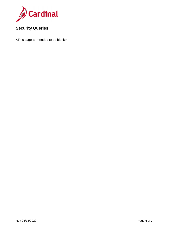

# <span id="page-3-0"></span>**Security Queries**

<This page is intended to be blank>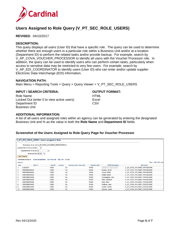

# <span id="page-4-0"></span>**Users Assigned to Role Query (V\_PT\_SEC\_ROLE\_USERS)**

**REVISED:** 04/10/2017

#### **DESCRIPTION:**

This query displays all users (User ID) that have a specific role. The query can be used to determine whether there are enough users in a particular role within a Business Unit and/or at a location (Department ID) to perform the related tasks and/or provide backup. For example, search by V\_AP\_COVA\_VOUCHER\_PROCESSOR to identify all users with the Voucher Processor role. In addition, the query can be used to identify users who can perform certain tasks, particularly when access to sensitive data may be restricted to very few users. For example, search by V\_AP\_EDI\_COORDINATOR to identify users (User ID) who can enter and/or update supplier Electronic Data Interchange (EDI) information.

#### **NAVIGATION PATH:**

Main Menu > Reporting Tools > Query > Query Viewer > V\_PT\_SEC\_ROLE\_USERS

#### **INPUT / SEARCH CRITERIA: OUTPUT FORMAT:**

Role Name Locked Out (enter 0 to view active users) Department ID Business Unit

**HTML Excel CSV** 

#### **ADDITIONAL INFORMATION:**

A list of all users and assigned roles within an agency can be generated by entering the designated Business Unit and % as the value in both the **Role Name** and **Department ID** fields.

#### **Screenshot of the Users Assigned to Role Query Page for Voucher Processor**

|                | V_PT_SEC_ROLE_USERS - Users assigned to Role                          |         |          |                                  |                      |                          |                             |  |  |
|----------------|-----------------------------------------------------------------------|---------|----------|----------------------------------|----------------------|--------------------------|-----------------------------|--|--|
|                |                                                                       |         |          |                                  |                      |                          |                             |  |  |
|                | Role Name (% for all) V AP COVA VOUCHER PROCESSOR Q                   |         |          |                                  |                      |                          |                             |  |  |
|                | Locked Out? (1=Yes or 0=No)<br>$\overline{0}$                         |         |          |                                  |                      |                          |                             |  |  |
|                |                                                                       |         |          |                                  |                      |                          |                             |  |  |
|                | Department ID (% for all) %<br>lQ.                                    |         |          |                                  |                      |                          |                             |  |  |
|                | Business Unit 15100 Q                                                 |         |          |                                  |                      |                          |                             |  |  |
|                | <b>View Results</b>                                                   |         |          |                                  |                      |                          |                             |  |  |
|                | Download results in: Excel SpreadSheet CSV Text File XML File (17 kb) |         |          |                                  |                      |                          |                             |  |  |
|                |                                                                       |         |          |                                  |                      |                          |                             |  |  |
| View All       |                                                                       |         |          |                                  |                      |                          | First 1-69 of 69 Last       |  |  |
| Row            | User ID                                                               | Dept ID | Location | <b>Account Lock? - Yes or No</b> | <b>Business Unit</b> | <b>OPRID Description</b> | <b>Role Name</b>            |  |  |
|                | AJS28743                                                              | 10001   |          | No                               | 15100                |                          | V AP COVA VOUCHER PROCESSOR |  |  |
| $\overline{2}$ | CRDTRNUSR001                                                          | 10000   |          | No                               | 15100                | Bradley, Micah           | V AP COVA VOUCHER PROCESSOR |  |  |
| 3              | CRDTRNUSR002                                                          | 10000   |          | No                               | 15100                | Carroll, Elliott         | V AP COVA VOUCHER PROCESSOR |  |  |
| $\overline{4}$ | CRDTRNUSR003                                                          | 10000   |          | No                               | 15100                | Knight, Mateo            | V AP COVA VOUCHER PROCESSOR |  |  |
| 5              | CRDTRNUSR004                                                          | 10000   |          | No                               | 15100                | Cunningham, Cole         | V AP COVA VOUCHER PROCESSOR |  |  |
| 6              | CRDTRNUSR005                                                          | 10000   |          | No                               | 15100                | Elliot, Jeremiah         | V_AP_COVA_VOUCHER_PROCESSOR |  |  |
|                | CRDTRNUSR006                                                          | 10000   |          | No                               | 15100                | Hart, Asher              | V_AP_COVA_VOUCHER_PROCESSOR |  |  |
| 8              | CRDTRNUSR007                                                          | 10000   |          | No                               | 15100                | Hoffman, Jake            | V AP COVA VOUCHER PROCESSOR |  |  |
| 9              | CRDTRNUSR008                                                          | 10000   |          | No                               | 15100                | Castro, Declan           | V AP COVA VOUCHER PROCESSOR |  |  |
| 10             | CRDTRNUSR009                                                          | 10000   |          | No                               | 15100                | Hansen, Josiah           | V AP COVA VOUCHER PROCESSOR |  |  |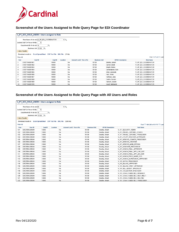

## **Screenshot of the Users Assigned to Role Query Page for EDI Coordinator**

|                | V_PT_SEC_ROLE_USERS - Users assigned to Role                          |         |                 |                           |                      |                          |                       |  |  |
|----------------|-----------------------------------------------------------------------|---------|-----------------|---------------------------|----------------------|--------------------------|-----------------------|--|--|
|                |                                                                       |         |                 |                           |                      |                          |                       |  |  |
|                | Role Name (% for all)  V_AP_EDI_COORDINATOR                           |         | $\times$ Q      |                           |                      |                          |                       |  |  |
|                | Locked Out? (1=Yes or 0=No)<br>$\overline{0}$                         |         |                 |                           |                      |                          |                       |  |  |
|                | Department ID (% for all) %<br>$\overline{\mathsf{Q}}$                |         |                 |                           |                      |                          |                       |  |  |
|                |                                                                       |         |                 |                           |                      |                          |                       |  |  |
|                | Business Unit 15100 Q                                                 |         |                 |                           |                      |                          |                       |  |  |
|                | <b>View Results</b>                                                   |         |                 |                           |                      |                          |                       |  |  |
|                | Download results in: Excel SpreadSheet CSV Text File XML File (17 kb) |         |                 |                           |                      |                          |                       |  |  |
| View All       |                                                                       |         |                 |                           |                      |                          | First 1-71 of 71 Last |  |  |
| Row            | <b>User ID</b>                                                        | Dept ID | <b>Location</b> | Account Lock? - Yes or No | <b>Business Unit</b> | <b>OPRID Description</b> | Role Name             |  |  |
| 1              | CRDTRNUSR001                                                          | 10000   | No              |                           | 15100                | Bradley, Micah           | V AP EDI COORDINATOR  |  |  |
| $\overline{2}$ | CRDTRNUSR002                                                          | 10000   | No              |                           | 15100                | Carroll, Elliott         | V_AP_EDI_COORDINATOR  |  |  |
| 3              | CRDTRNUSR003                                                          | 10000   | No              |                           | 15100                | Knight, Mateo            | V AP EDI COORDINATOR  |  |  |
| 4              | CRDTRNUSR004                                                          | 10000   | No              |                           | 15100                | Cunningham, Cole         | V AP EDI COORDINATOR  |  |  |
| 5              | CRDTRNUSR005                                                          | 10000   | No              |                           | 15100                | Elliot, Jeremiah         | V_AP_EDI_COORDINATOR  |  |  |
| 6              | CRDTRNUSR006                                                          | 10000   | N <sub>0</sub>  |                           | 15100                | Hart, Asher              | V AP EDI COORDINATOR  |  |  |
| $\overline{7}$ | CRDTRNUSR007                                                          | 10000   | No              |                           | 15100                | Hoffman, Jake            | V AP EDI COORDINATOR  |  |  |
| 8              | CRDTRNUSR008                                                          | 10000   | No              |                           | 15100                | Castro, Declan           | V_AP_EDI_COORDINATOR  |  |  |
| 9              | CRDTRNUSR009                                                          | 10000   | No              |                           | 15100                | Hansen, Josiah           | V AP EDI COORDINATOR  |  |  |
| 10             | CRDTRNUSR010                                                          | 10000   | No              |                           | 15100                | Grant, Nathaniel         | V AP EDI COORDINATOR  |  |  |

### **Screenshot of the Users Assigned to Role Query Page with All Users and Roles**

|                 | V_PT_SEC_ROLE_USERS - Users assigned to Role                            |                         |          |                                  |                      |                          |                                |
|-----------------|-------------------------------------------------------------------------|-------------------------|----------|----------------------------------|----------------------|--------------------------|--------------------------------|
|                 |                                                                         |                         |          |                                  |                      |                          |                                |
|                 | Role Name (% for all) 5%                                                |                         |          | $\times$ Q                       |                      |                          |                                |
|                 | Locked Out? (1=Yes or 0=No)                                             | $\overline{0}$          |          |                                  |                      |                          |                                |
|                 | Department ID (% for all) %                                             | $\overline{Q}$          |          |                                  |                      |                          |                                |
|                 | Business Unit 15100                                                     | $\overline{\mathbf{Q}}$ |          |                                  |                      |                          |                                |
|                 | <b>View Results</b>                                                     |                         |          |                                  |                      |                          |                                |
|                 | Download results in: Excel SpreadSheet CSV Text File XML File (3293 kb) |                         |          |                                  |                      |                          |                                |
|                 |                                                                         |                         |          |                                  |                      |                          |                                |
| <b>View All</b> |                                                                         |                         |          |                                  |                      |                          | First 101-200 of 13175         |
| <b>Row</b>      | User ID                                                                 | Dept ID                 | Location | <b>Account Lock? - Yes or No</b> | <b>Business Unit</b> | <b>OPRID Description</b> | <b>Role Name</b>               |
| 101             | CRDTRNUSR001                                                            | 10000                   | No       |                                  | 15100                | Bradley, Micah           | V AP SECURITY ADMIN            |
| 102             | CRDTRNUSR001                                                            | 10000                   | No       |                                  | 15100                | Bradley, Micah           | V_AP_TRAVEL_EXPENSE_CONFIG     |
| 103             | CRDTRNUSR001                                                            | 10000                   | No       |                                  | 15100                | Bradley, Micah           | V AP TRAVEL EXPENSE PROCESSOR  |
| 104             | CRDTRNUSR001                                                            | 10000                   | No       |                                  | 15100                | Bradley, Micah           | V_AP_UTILITY_VOUCHER_APPROVER  |
| 105             | CRDTRNUSR001                                                            | 10000                   | No       |                                  | 15100                | Bradley, Micah           | V_AP_VENDOR_CONVER_PROCESSOR   |
| 106             | CRDTRNUSR001                                                            | 10000                   | No       |                                  | 15100                | Bradley, Micah           | V AP VENDOR CREATOR            |
| 107             | CRDTRNUSR001                                                            | 10000                   | No       |                                  | 15100                | Bradley, Micah           | V AP VENDOR MAIN SPECIAL       |
| 108             | CRDTRNUSR001                                                            | 10000                   | No       |                                  | 15100                | Bradley, Micah           | V_AP_VOUCHER_PROCESSOR         |
| 109             | CRDTRNUSR001                                                            | 10000                   | No       |                                  | 15100                | Bradley, Micah           | V AP VOUCH FINAL APPROVER      |
| 110             | CRDTRNUSR001                                                            | 10000                   | No       |                                  | 15100                | Bradley, Micah           | V_AP_VOUCH_FINAL_APP_CAP_OUT   |
| 111             | CRDTRNUSR001                                                            | 10000                   | No       |                                  | 15100                | Bradley, Micah           | V AP VOUCH FINAL APP LEG SER   |
| 112             | CRDTRNUSR001                                                            | 10000                   | No       |                                  | 15100                | Bradley, Micah           | V AP VOUCH PROC MAINT FLG      |
| 113             | CRDTRNUSR001                                                            | 10000                   | No       |                                  | 15100                | Bradley, Micah           | V AP VOUCH SUPERVISOR APPROVER |
| 114             | CRDTRNUSR001                                                            | 10000                   | No       |                                  | 15100                | Bradley, Micah           | V_AR_BATCH_PROCESSOR           |
| 115             | CRDTRNUSR001                                                            | 10000                   | No       |                                  | 15100                | Bradley, Micah           | V_AR_BILLING_APPROVER          |
| 116             | CRDTRNUSR001                                                            | 10000                   | No       |                                  | 15100                | Bradley, Micah           | V_AR_BILLING_WRKT_APPROVER     |
| 117             | CRDTRNUSR001                                                            | 10000                   | No       |                                  | 15100                | Bradley, Micah           | V AR BILL ADJUST SPECIALIST    |
| 118             | CRDTRNUSR001                                                            | 10000                   | No       |                                  | 15100                | Bradley, Micah           | V_AR_COLLECTION_SPECIALIST     |
| 119             | CRDTRNUSR001                                                            | 10000                   | No       |                                  | 15100                | Bradley, Micah           | V AR COVA FUNDS REC MANAGER    |
| 120             | CRDTRNUSR001                                                            | 10000                   | No       |                                  | 15100                | Bradley, Micah           | V_AR_COVA_FUNDS_REC_MGR_MULTI  |
| 121             | CRDTRNUSR001                                                            | 10000                   | No       |                                  | 15100                | Bradley, Micah           | V_AR_COVA_FUNDS_REC_MULTIBU    |
| 122             | CRDTRNUSR001                                                            | 10000                   | No.      |                                  | 15100                | Bradlev, Micah           | V AR COVA FUNDS REC PROCESSOR  |